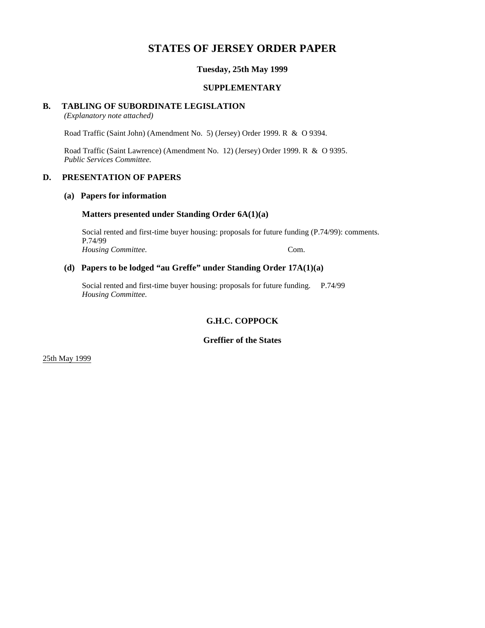# **STATES OF JERSEY ORDER PAPER**

## **Tuesday, 25th May 1999**

#### **SUPPLEMENTARY**

#### **B. TABLING OF SUBORDINATE LEGISLATION**

*(Explanatory note attached)*

Road Traffic (Saint John) (Amendment No. 5) (Jersey) Order 1999. R & O 9394.

Road Traffic (Saint Lawrence) (Amendment No. 12) (Jersey) Order 1999. R & O 9395. *Public Services Committee.*

#### **D. PRESENTATION OF PAPERS**

### **(a) Papers for information**

#### **Matters presented under Standing Order 6A(1)(a)**

Social rented and first-time buyer housing: proposals for future funding (P.74/99): comments. P.74/99 *Housing Committee.* Com.

## **(d) Papers to be lodged "au Greffe" under Standing Order 17A(1)(a)**

Social rented and first-time buyer housing: proposals for future funding. P.74/99 *Housing Committee.*

# **G.H.C. COPPOCK**

# **Greffier of the States**

25th May 1999